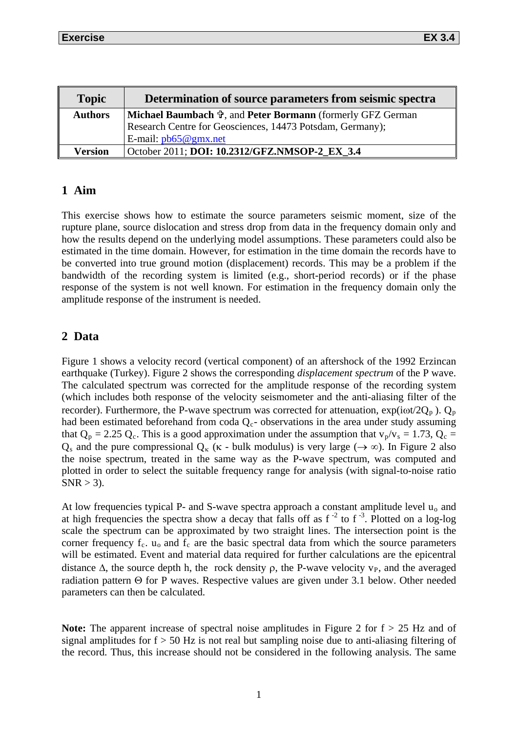| <b>Topic</b>   | Determination of source parameters from seismic spectra                |
|----------------|------------------------------------------------------------------------|
| <b>Authors</b> | Michael Baumbach <sup>⊕</sup> , and Peter Bormann (formerly GFZ German |
|                | Research Centre for Geosciences, 14473 Potsdam, Germany);              |
|                | E-mail: $p\bar{b}65@gmx.net$                                           |
| <b>Version</b> | October 2011; DOI: 10.2312/GFZ.NMSOP-2 EX 3.4                          |

## **1 Aim**

This exercise shows how to estimate the source parameters seismic moment, size of the rupture plane, source dislocation and stress drop from data in the frequency domain only and how the results depend on the underlying model assumptions. These parameters could also be estimated in the time domain. However, for estimation in the time domain the records have to be converted into true ground motion (displacement) records. This may be a problem if the bandwidth of the recording system is limited (e.g., short-period records) or if the phase response of the system is not well known. For estimation in the frequency domain only the amplitude response of the instrument is needed.

# **2 Data**

Figure 1 shows a velocity record (vertical component) of an aftershock of the 1992 Erzincan earthquake (Turkey). Figure 2 shows the corresponding *displacement spectrum* of the P wave. The calculated spectrum was corrected for the amplitude response of the recording system (which includes both response of the velocity seismometer and the anti-aliasing filter of the recorder). Furthermore, the P-wave spectrum was corrected for attenuation,  $\exp(i\omega t/2Q_p)$ .  $Q_p$ had been estimated beforehand from coda  $Q<sub>c</sub>$ - observations in the area under study assuming that  $Q_p = 2.25$   $Q_c$ . This is a good approximation under the assumption that  $v_p/v_s = 1.73$ ,  $Q_c =$  $Q_s$  and the pure compressional  $Q_k$  ( $\kappa$  - bulk modulus) is very large ( $\rightarrow \infty$ ). In Figure 2 also the noise spectrum, treated in the same way as the P-wave spectrum, was computed and plotted in order to select the suitable frequency range for analysis (with signal-to-noise ratio  $SNR > 3$ ).

At low frequencies typical P- and S-wave spectra approach a constant amplitude level  $u_0$  and at high frequencies the spectra show a decay that falls off as  $f^{-2}$  to  $f^{-3}$ . Plotted on a log-log scale the spectrum can be approximated by two straight lines. The intersection point is the corner frequency  $f_c$ .  $u_o$  and  $f_c$  are the basic spectral data from which the source parameters will be estimated. Event and material data required for further calculations are the epicentral distance  $\Delta$ , the source depth h, the rock density  $\rho$ , the P-wave velocity v<sub>P</sub>, and the averaged radiation pattern Θ for P waves. Respective values are given under 3.1 below. Other needed parameters can then be calculated.

**Note:** The apparent increase of spectral noise amplitudes in Figure 2 for f > 25 Hz and of signal amplitudes for  $f > 50$  Hz is not real but sampling noise due to anti-aliasing filtering of the record. Thus, this increase should not be considered in the following analysis. The same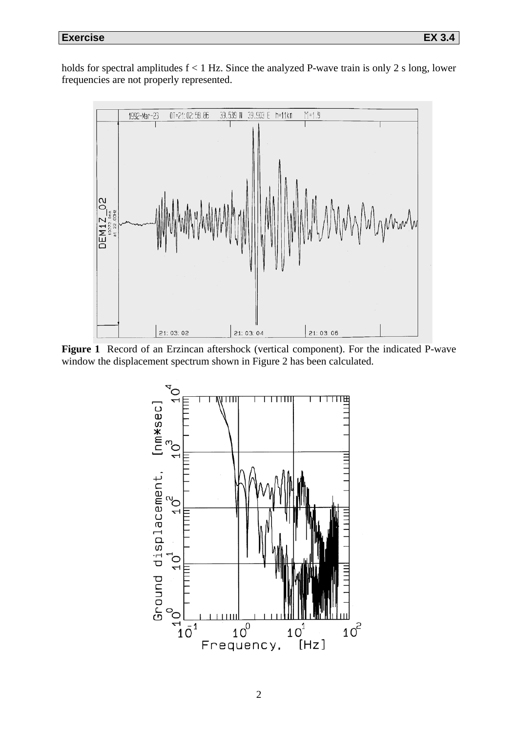holds for spectral amplitudes f < 1 Hz. Since the analyzed P-wave train is only 2 s long, lower frequencies are not properly represented.



**Figure 1** Record of an Erzincan aftershock (vertical component). For the indicated P-wave window the displacement spectrum shown in Figure 2 has been calculated.

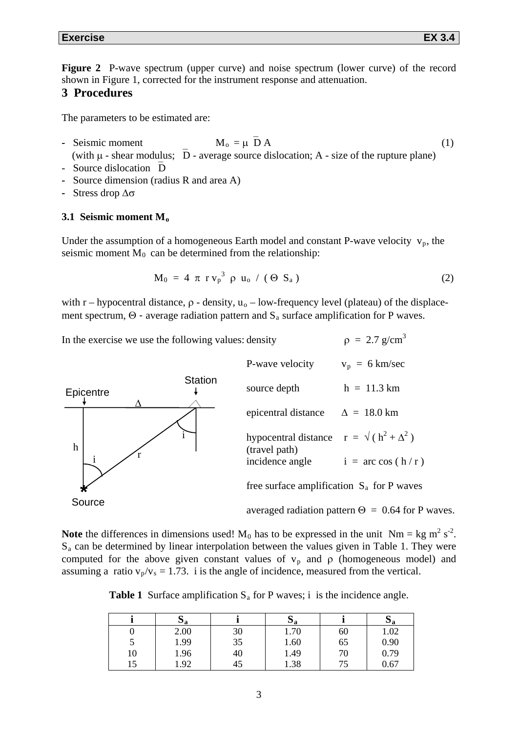**Figure 2** P-wave spectrum (upper curve) and noise spectrum (lower curve) of the record shown in Figure 1, corrected for the instrument response and attenuation.

## **3 Procedures**

The parameters to be estimated are:

- **-** Seismic moment  $M_0 = \mu \bar{D} A$  (1) (with  $\mu$  - shear modulus; D - average source dislocation; A - size of the rupture plane)
- Source dislocation D
- **-** Source dimension (radius R and area A)
- **-** Stress drop ∆σ

#### **3.1 Seismic moment Mo**

Under the assumption of a homogeneous Earth model and constant P-wave velocity  $v_p$ , the seismic moment  $M_0$  can be determined from the relationship:

$$
M_0 = 4 \pi r v_p^3 \rho u_o / (\Theta S_a)
$$
 (2)

with r – hypocentral distance,  $\rho$  - density,  $u_0$  – low-frequency level (plateau) of the displacement spectrum,  $\Theta$  - average radiation pattern and  $S_a$  surface amplification for P waves.

In the exercise we use the following values: density  $\rho = 2.7$  g/cm<sup>3</sup>



Note the differences in dimensions used!  $M_0$  has to be expressed in the unit  $Nm = kg m^2 s^2$ .  $S_a$  can be determined by linear interpolation between the values given in Table 1. They were computed for the above given constant values of  $v_p$  and  $\rho$  (homogeneous model) and assuming a ratio  $v_p/v_s = 1.73$ . i is the angle of incidence, measured from the vertical.

**Table 1** Surface amplification  $S_a$  for P waves; i is the incidence angle.

|    | $\mathbf{v}_{\mathbf{a}}$ |    | IJя  |    | $\mathbf{v}_{\mathbf{a}}$ |
|----|---------------------------|----|------|----|---------------------------|
|    | 2.00                      | 30 | 1.70 | 60 | 1.02                      |
| J  | 1.99                      | 35 | 1.60 | 65 | 0.90                      |
| 10 | 1.96                      | 40 | 1.49 | 70 | 0.79                      |
| 15 | 1.92                      | 45 | 1.38 | 75 | 0.67                      |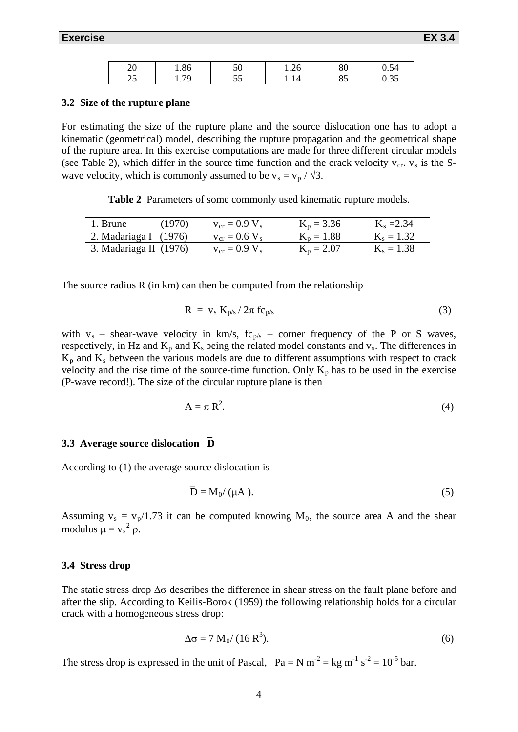| ∩∩<br>∠∪ | 1.86     | ◡◡ | ,,<br>1.20 | 80        | 0.34                         |
|----------|----------|----|------------|-----------|------------------------------|
| ∼~<br>ر_ | 7G.<br>. | ັບ | 1.IT       | ∩ −<br>ΟJ | $\sim$ $\sim$ $\sim$<br>v.JJ |

#### **3.2 Size of the rupture plane**

For estimating the size of the rupture plane and the source dislocation one has to adopt a kinematic (geometrical) model, describing the rupture propagation and the geometrical shape of the rupture area. In this exercise computations are made for three different circular models (see Table 2), which differ in the source time function and the crack velocity  $v_{cr}$ .  $v_s$  is the Swave velocity, which is commonly assumed to be  $v_s = v_p / \sqrt{3}$ .

**Table 2** Parameters of some commonly used kinematic rupture models.

| 1970)<br>1. Brune      | $v_{cr} = 0.9 V_s$ | $K_p = 3.36$ | $K_s = 2.34$ |
|------------------------|--------------------|--------------|--------------|
| 2. Madariaga I (1976)  | $v_{cr} = 0.6 V_s$ | $K_p = 1.88$ | $K_s = 1.32$ |
| 3. Madariaga II (1976) | $v_{cr} = 0.9 V_s$ | $K_p = 2.07$ | $K_s = 1.38$ |

The source radius R (in km) can then be computed from the relationship

$$
R = v_s K_{p/s} / 2\pi f c_{p/s}
$$
 (3)

with  $v_s$  – shear-wave velocity in km/s,  $fc_{p/s}$  – corner frequency of the P or S waves, respectively, in Hz and  $K_p$  and  $K_s$  being the related model constants and  $v_s$ . The differences in  $K_p$  and  $K_s$  between the various models are due to different assumptions with respect to crack velocity and the rise time of the source-time function. Only  $K_p$  has to be used in the exercise (P-wave record!). The size of the circular rupture plane is then

$$
A = \pi R^2. \tag{4}
$$

#### **3.3 Average source dislocation D**

According to (1) the average source dislocation is

$$
\overline{\mathbf{D}} = \mathbf{M}_0 / (\mu \mathbf{A}). \tag{5}
$$

Assuming  $v_s = v_p/1.73$  it can be computed knowing  $M_0$ , the source area A and the shear modulus  $\mu = v_s^2 \rho$ .

#### **3.4 Stress drop**

The static stress drop  $\Delta\sigma$  describes the difference in shear stress on the fault plane before and after the slip. According to Keilis-Borok (1959) the following relationship holds for a circular crack with a homogeneous stress drop:

$$
\Delta \sigma = 7 \text{ M}_0 / (16 \text{ R}^3). \tag{6}
$$

The stress drop is expressed in the unit of Pascal,  $Pa = N m<sup>-2</sup> = kg m<sup>-1</sup> s<sup>-2</sup> = 10<sup>-5</sup> bar.$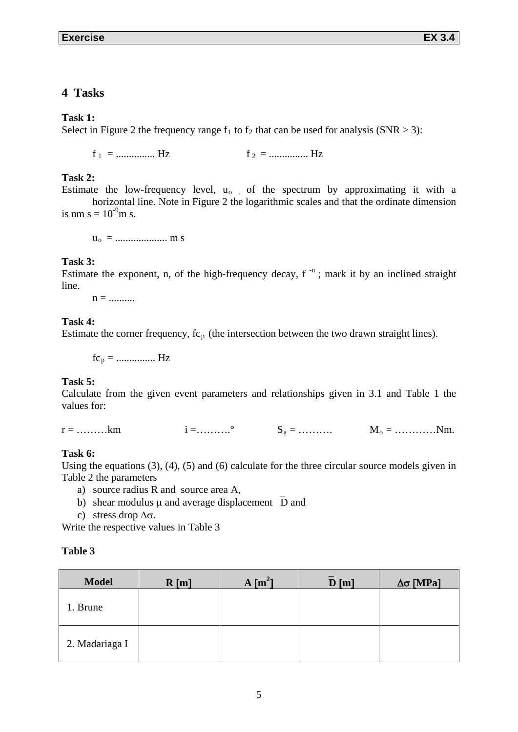# **4 Tasks**

## **Task 1:**

Select in Figure 2 the frequency range  $f_1$  to  $f_2$  that can be used for analysis (SNR  $>$  3):

f 1 = ............... Hz f 2 = ............... Hz

#### **Task 2:**

Estimate the low-frequency level,  $u_0$ , of the spectrum by approximating it with a horizontal line. Note in Figure 2 the logarithmic scales and that the ordinate dimension is nm s =  $10^{-9}$ m s.

uo = .................... m s

### **Task 3:**

Estimate the exponent, n, of the high-frequency decay,  $f^{-n}$ ; mark it by an inclined straight line.

 $n =$  ...........

### **Task 4:**

Estimate the corner frequency,  $fc<sub>p</sub>$  (the intersection between the two drawn straight lines).

 $fc_p =$  .................. Hz

### **Task 5:**

Calculate from the given event parameters and relationships given in 3.1 and Table 1 the values for:

 $r =$  ………km  $i =$   $\ldots$   $S_a =$  ………  $M_0 =$  …………Nm.

### **Task 6:**

Using the equations (3), (4), (5) and (6) calculate for the three circular source models given in Table 2 the parameters

- a) source radius R and source area A,
- b) shear modulus  $\mu$  and average displacement  $\bar{D}$  and
- c) stress drop ∆σ.

Write the respective values in Table 3

#### **Table 3**

| <b>Model</b>   | R[m] | $A[m^2]$ | D[m] | $Δσ$ [MPa] |
|----------------|------|----------|------|------------|
| 1. Brune       |      |          |      |            |
| 2. Madariaga I |      |          |      |            |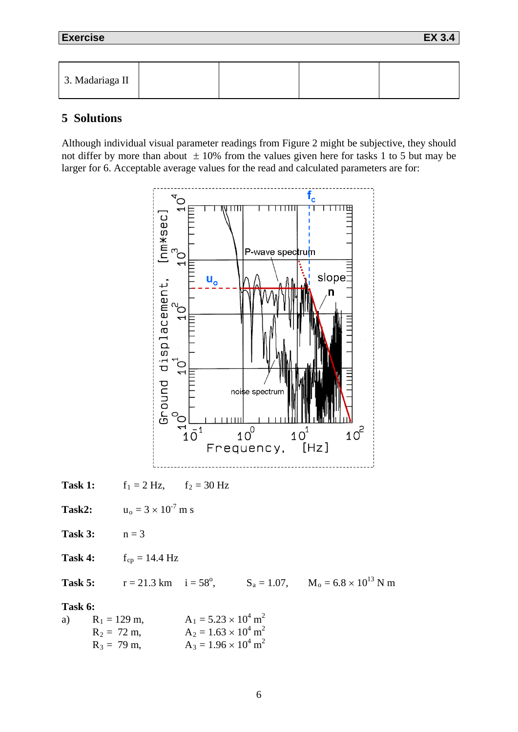**Exercise EX 3.4**

| 3. Madariaga II |
|-----------------|
|-----------------|

## **5 Solutions**

Although individual visual parameter readings from Figure 2 might be subjective, they should not differ by more than about  $\pm 10\%$  from the values given here for tasks 1 to 5 but may be larger for 6. Acceptable average values for the read and calculated parameters are for: